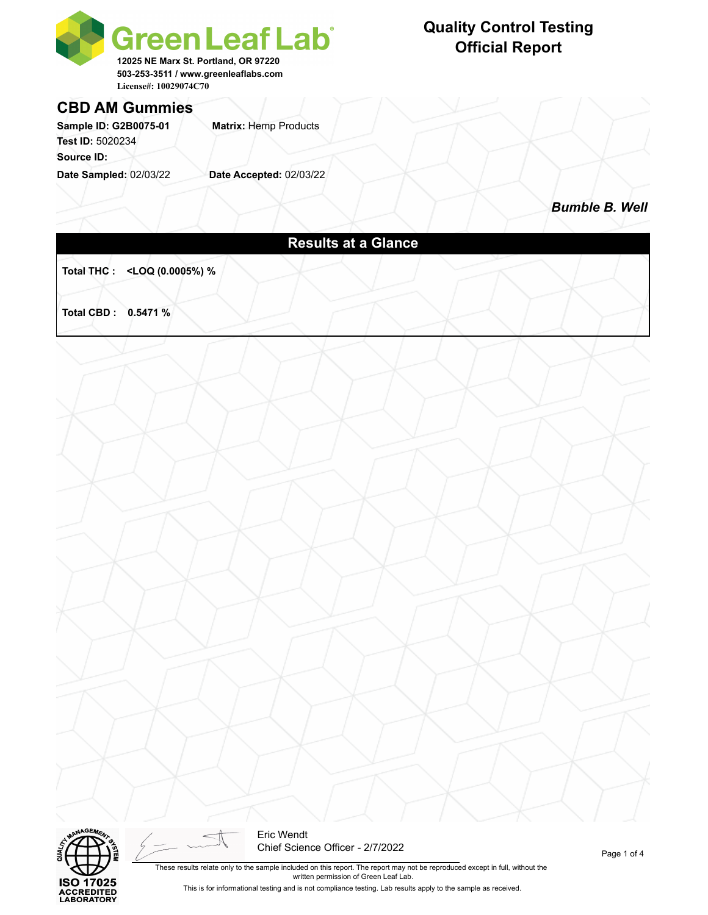

## **CBD AM Gummies**

Sample ID: G2B0075-01 **Matrix: Hemp Products Test ID:** 5020234 **Source ID:** 

**Date Sampled:** 02/03/22 **Date Accepted:** 02/03/22

**Quality Control Testing Official Report**

*Bumble B. Well*

### **Results at a Glance**

**Total THC : <LOQ (0.0005%) %** 

**Total CBD : 0.5471 %** 



Eric Wendt Chief Science Officer - 2/7/2022

Page 1 of 4

These results relate only to the sample included on this report. The report may not be reproduced except in full, without the written permission of Green Leaf Lab. This is for informational testing and is not compliance testing. Lab results apply to the sample as received.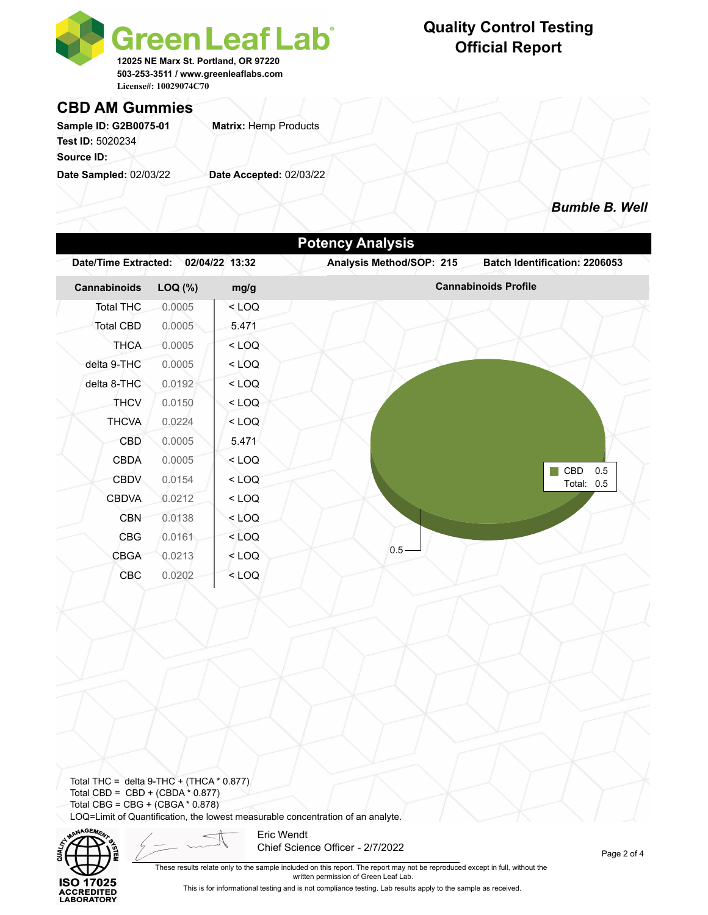

## **Quality Control Testing Official Report**

#### **CBD AM Gummies**

Sample ID: G2B0075-01 **Matrix: Hemp Products Test ID:** 5020234 **Source ID:** 

**Date Sampled:** 02/03/22 **Date Accepted:** 02/03/22

*Bumble B. Well*





Eric Wendt Chief Science Officer - 2/7/2022

Page 2 of 4

These results relate only to the sample included on this report. The report may not be reproduced except in full, without the written permission of Green Leaf Lab. This is for informational testing and is not compliance testing. Lab results apply to the sample as received.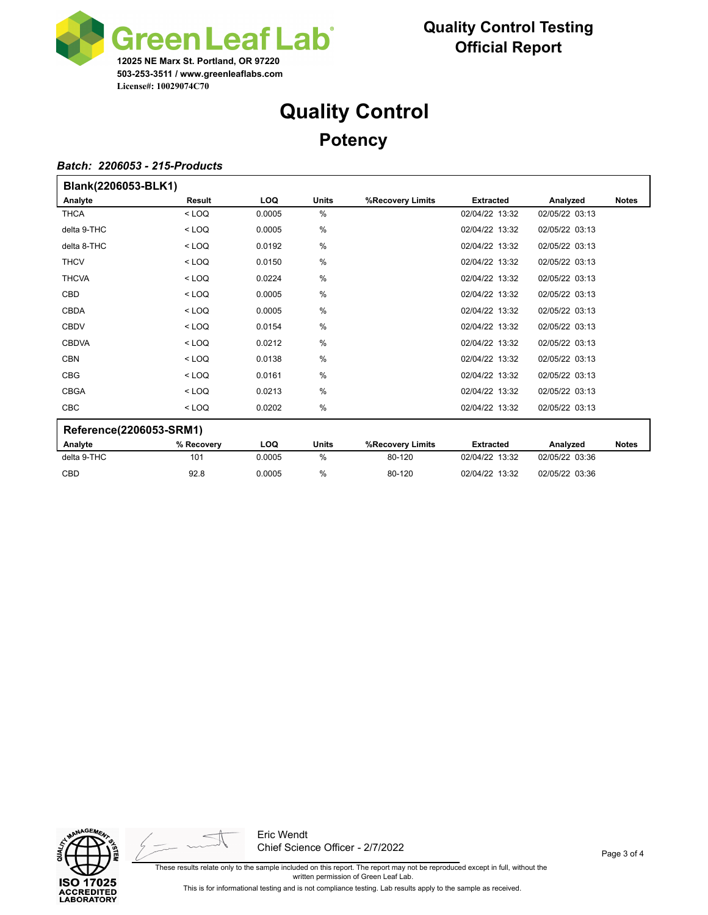

# **Quality Control Potency**

#### *Batch: 2206053 - 215-Products*

| Blank(2206053-BLK1)     |            |            |               |                  |                  |                |              |
|-------------------------|------------|------------|---------------|------------------|------------------|----------------|--------------|
| Analyte                 | Result     | <b>LOQ</b> | <b>Units</b>  | %Recovery Limits | <b>Extracted</b> | Analyzed       | <b>Notes</b> |
| <b>THCA</b>             | $<$ LOQ    | 0.0005     | %             |                  | 02/04/22 13:32   | 02/05/22 03:13 |              |
| delta 9-THC             | $<$ LOQ    | 0.0005     | %             |                  | 02/04/22 13:32   | 02/05/22 03:13 |              |
| delta 8-THC             | $<$ LOQ    | 0.0192     | %             |                  | 02/04/22 13:32   | 02/05/22 03:13 |              |
| <b>THCV</b>             | $<$ LOQ    | 0.0150     | %             |                  | 02/04/22 13:32   | 02/05/22 03:13 |              |
| <b>THCVA</b>            | $<$ LOQ    | 0.0224     | %             |                  | 02/04/22 13:32   | 02/05/22 03:13 |              |
| CBD                     | $<$ LOQ    | 0.0005     | $\frac{0}{0}$ |                  | 02/04/22 13:32   | 02/05/22 03:13 |              |
| <b>CBDA</b>             | $<$ LOQ    | 0.0005     | %             |                  | 02/04/22 13:32   | 02/05/22 03:13 |              |
| <b>CBDV</b>             | $<$ LOQ    | 0.0154     | %             |                  | 02/04/22 13:32   | 02/05/22 03:13 |              |
| <b>CBDVA</b>            | $<$ LOQ    | 0.0212     | %             |                  | 02/04/22 13:32   | 02/05/22 03:13 |              |
| <b>CBN</b>              | $<$ LOQ    | 0.0138     | $\frac{0}{0}$ |                  | 02/04/22 13:32   | 02/05/22 03:13 |              |
| <b>CBG</b>              | $<$ LOQ    | 0.0161     | %             |                  | 02/04/22 13:32   | 02/05/22 03:13 |              |
| <b>CBGA</b>             | $<$ LOQ    | 0.0213     | $\%$          |                  | 02/04/22 13:32   | 02/05/22 03:13 |              |
| CBC                     | $<$ LOQ    | 0.0202     | %             |                  | 02/04/22 13:32   | 02/05/22 03:13 |              |
| Reference(2206053-SRM1) |            |            |               |                  |                  |                |              |
| Analyte                 | % Recovery | <b>LOQ</b> | <b>Units</b>  | %Recovery Limits | <b>Extracted</b> | Analyzed       | <b>Notes</b> |
| delta 9-THC             | 101        | 0.0005     | $\frac{0}{0}$ | 80-120           | 02/04/22 13:32   | 02/05/22 03:36 |              |

CBD 92.8 0.0005 % 80-120 02/04/22 13:32 02/05/22 03:36





Eric Wendt Chief Science Officer - 2/7/2022

These results relate only to the sample included on this report. The report may not be reproduced except in full, without the written permission of Green Leaf Lab. This is for informational testing and is not compliance testing. Lab results apply to the sample as received.